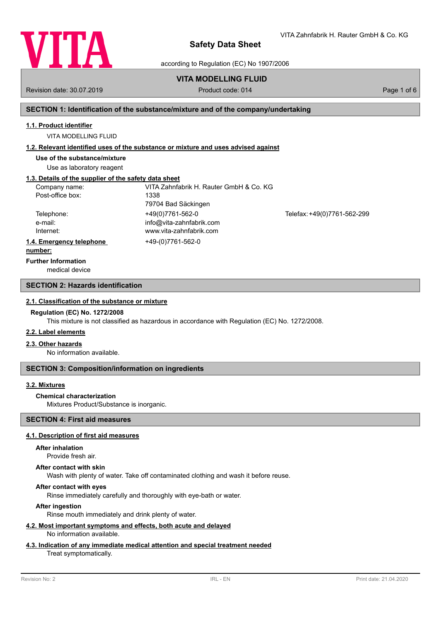

VITA Zahnfabrik H. Rauter GmbH & Co. KG

according to Regulation (EC) No 1907/2006

# **VITA MODELLING FLUID**

Revision date: 30.07.2019 **Product code: 014** Product code: 014 **Page 1 of 6** Page 1 of 6

## **SECTION 1: Identification of the substance/mixture and of the company/undertaking**

## **1.1. Product identifier**

VITA MODELLING FLUID

#### **1.2. Relevant identified uses of the substance or mixture and uses advised against**

**Use of the substance/mixture**

Use as laboratory reagent

## **1.3. Details of the supplier of the safety data sheet**

| Company name:                        | VITA Zahnfabrik H. Rauter GmbH & Co. KG |                             |
|--------------------------------------|-----------------------------------------|-----------------------------|
| Post-office box:                     | 1338                                    |                             |
|                                      | 79704 Bad Säckingen                     |                             |
| Telephone:                           | +49(0)7761-562-0                        | Telefax: +49(0)7761-562-299 |
| e-mail:                              | info@vita-zahnfabrik.com                |                             |
| Internet:                            | www.vita-zahnfabrik.com                 |                             |
| 1.4. Emergency telephone             | +49-(0)7761-562-0                       |                             |
| and a competition of the competition |                                         |                             |

#### **number:**

**Further Information**

medical device

### **SECTION 2: Hazards identification**

#### **2.1. Classification of the substance or mixture**

#### **Regulation (EC) No. 1272/2008**

This mixture is not classified as hazardous in accordance with Regulation (EC) No. 1272/2008.

## **2.2. Label elements**

#### **2.3. Other hazards**

No information available.

#### **SECTION 3: Composition/information on ingredients**

## **3.2. Mixtures**

#### **Chemical characterization**

Mixtures Product/Substance is inorganic.

## **SECTION 4: First aid measures**

# **4.1. Description of first aid measures**

#### **After inhalation**

Provide fresh air.

#### **After contact with skin**

Wash with plenty of water. Take off contaminated clothing and wash it before reuse.

## **After contact with eyes**

Rinse immediately carefully and thoroughly with eye-bath or water.

## **After ingestion**

Rinse mouth immediately and drink plenty of water.

#### **4.2. Most important symptoms and effects, both acute and delayed** No information available.

# **4.3. Indication of any immediate medical attention and special treatment needed**

## Treat symptomatically.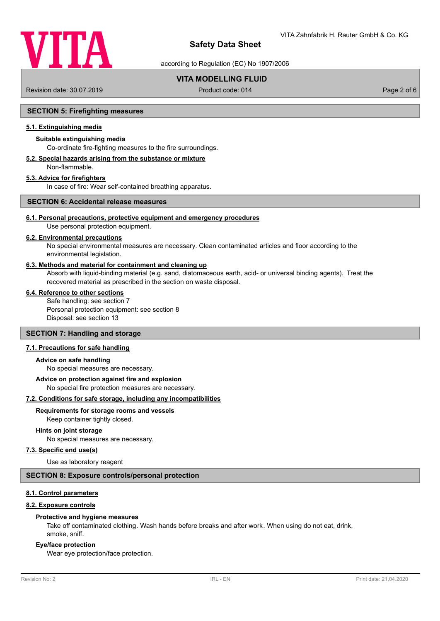

according to Regulation (EC) No 1907/2006

# **VITA MODELLING FLUID**

Revision date: 30.07.2019 **Product code: 014** Product code: 014 **Page 2 of 6** Page 2 of 6

## **SECTION 5: Firefighting measures**

## **5.1. Extinguishing media**

## **Suitable extinguishing media**

Co-ordinate fire-fighting measures to the fire surroundings.

# **5.2. Special hazards arising from the substance or mixture**

Non-flammable.

## **5.3. Advice for firefighters**

In case of fire: Wear self-contained breathing apparatus.

## **SECTION 6: Accidental release measures**

#### **6.1. Personal precautions, protective equipment and emergency procedures**

Use personal protection equipment.

#### **6.2. Environmental precautions**

No special environmental measures are necessary. Clean contaminated articles and floor according to the environmental legislation.

#### **6.3. Methods and material for containment and cleaning up**

Absorb with liquid-binding material (e.g. sand, diatomaceous earth, acid- or universal binding agents). Treat the recovered material as prescribed in the section on waste disposal.

# **6.4. Reference to other sections**

Safe handling: see section 7 Personal protection equipment: see section 8 Disposal: see section 13

#### **SECTION 7: Handling and storage**

#### **7.1. Precautions for safe handling**

#### **Advice on safe handling**

No special measures are necessary.

#### **Advice on protection against fire and explosion**

No special fire protection measures are necessary.

#### **7.2. Conditions for safe storage, including any incompatibilities**

**Requirements for storage rooms and vessels**

Keep container tightly closed.

## **Hints on joint storage**

No special measures are necessary.

# **7.3. Specific end use(s)**

Use as laboratory reagent

# **SECTION 8: Exposure controls/personal protection**

## **8.1. Control parameters**

#### **8.2. Exposure controls**

#### **Protective and hygiene measures**

Take off contaminated clothing. Wash hands before breaks and after work. When using do not eat, drink, smoke, sniff.

#### **Eye/face protection**

Wear eye protection/face protection.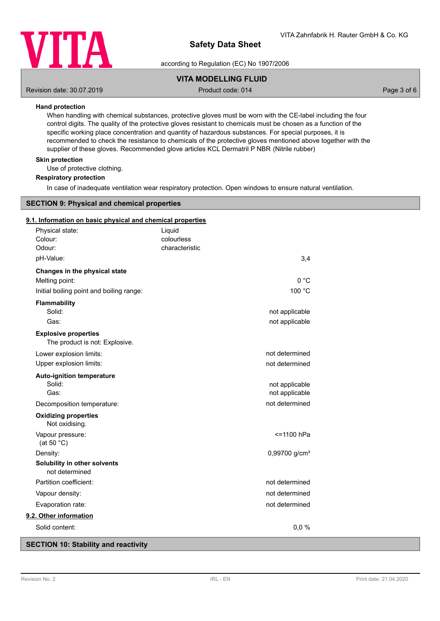

according to Regulation (EC) No 1907/2006

# **VITA MODELLING FLUID**

Revision date: 30.07.2019 **Product code: 014** Product code: 014 **Page 3 of 6** Page 3 of 6

## **Hand protection**

When handling with chemical substances, protective gloves must be worn with the CE-label including the four control digits. The quality of the protective gloves resistant to chemicals must be chosen as a function of the specific working place concentration and quantity of hazardous substances. For special purposes, it is recommended to check the resistance to chemicals of the protective gloves mentioned above together with the supplier of these gloves. Recommended glove articles KCL Dermatril P NBR (Nitrile rubber)

### **Skin protection**

Use of protective clothing.

#### **Respiratory protection**

In case of inadequate ventilation wear respiratory protection. Open windows to ensure natural ventilation.

## **SECTION 9: Physical and chemical properties**

#### **9.1. Information on basic physical and chemical properties**

| Physical state:                                               | Liquid                       |                                  |
|---------------------------------------------------------------|------------------------------|----------------------------------|
| Colour:<br>Odour:                                             | colourless<br>characteristic |                                  |
| pH-Value:                                                     |                              | 3,4                              |
| Changes in the physical state                                 |                              |                                  |
| Melting point:                                                |                              | 0 °C                             |
| Initial boiling point and boiling range:                      |                              | 100 °C                           |
| <b>Flammability</b>                                           |                              |                                  |
| Solid:                                                        |                              | not applicable                   |
| Gas:                                                          |                              | not applicable                   |
| <b>Explosive properties</b><br>The product is not: Explosive. |                              |                                  |
| Lower explosion limits:                                       |                              | not determined                   |
| Upper explosion limits:                                       |                              | not determined                   |
| <b>Auto-ignition temperature</b>                              |                              |                                  |
| Solid:<br>Gas:                                                |                              | not applicable<br>not applicable |
| Decomposition temperature:                                    |                              | not determined                   |
| <b>Oxidizing properties</b><br>Not oxidising.                 |                              |                                  |
| Vapour pressure:<br>(at 50 $°C$ )                             |                              | <=1100 hPa                       |
| Density:                                                      |                              | 0,99700 g/cm <sup>3</sup>        |
| Solubility in other solvents<br>not determined                |                              |                                  |
| Partition coefficient:                                        |                              | not determined                   |
| Vapour density:                                               |                              | not determined                   |
| Evaporation rate:                                             |                              | not determined                   |
| 9.2. Other information                                        |                              |                                  |
| Solid content:                                                |                              | 0,0%                             |

## **SECTION 10: Stability and reactivity**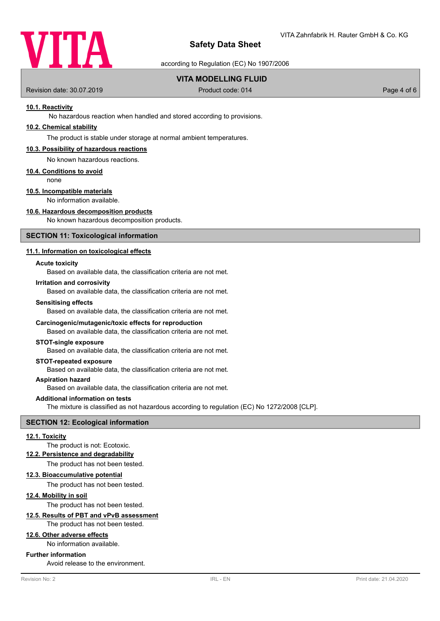

according to Regulation (EC) No 1907/2006

## **VITA MODELLING FLUID**

Revision date: 30.07.2019 **Product code: 014** Product code: 014 **Page 4 of 6** Page 4 of 6

## **10.1. Reactivity**

No hazardous reaction when handled and stored according to provisions.

## **10.2. Chemical stability**

The product is stable under storage at normal ambient temperatures.

#### **10.3. Possibility of hazardous reactions**

No known hazardous reactions.

#### **10.4. Conditions to avoid**

none

# **10.5. Incompatible materials**

No information available.

## **10.6. Hazardous decomposition products**

No known hazardous decomposition products.

#### **SECTION 11: Toxicological information**

## **11.1. Information on toxicological effects**

#### **Acute toxicity**

Based on available data, the classification criteria are not met.

#### **Irritation and corrosivity**

Based on available data, the classification criteria are not met.

#### **Sensitising effects**

Based on available data, the classification criteria are not met.

#### **Carcinogenic/mutagenic/toxic effects for reproduction**

Based on available data, the classification criteria are not met.

#### **STOT-single exposure**

Based on available data, the classification criteria are not met.

## **STOT-repeated exposure**

Based on available data, the classification criteria are not met.

#### **Aspiration hazard**

Based on available data, the classification criteria are not met.

#### **Additional information on tests**

The mixture is classified as not hazardous according to regulation (EC) No 1272/2008 [CLP].

# **SECTION 12: Ecological information**

#### **12.1. Toxicity**

The product is not: Ecotoxic.

#### **12.2. Persistence and degradability**

The product has not been tested.

#### **12.3. Bioaccumulative potential**

The product has not been tested.

#### **12.4. Mobility in soil**

The product has not been tested.

# **12.5. Results of PBT and vPvB assessment**

The product has not been tested.

# **12.6. Other adverse effects**

No information available.

#### **Further information**

Avoid release to the environment.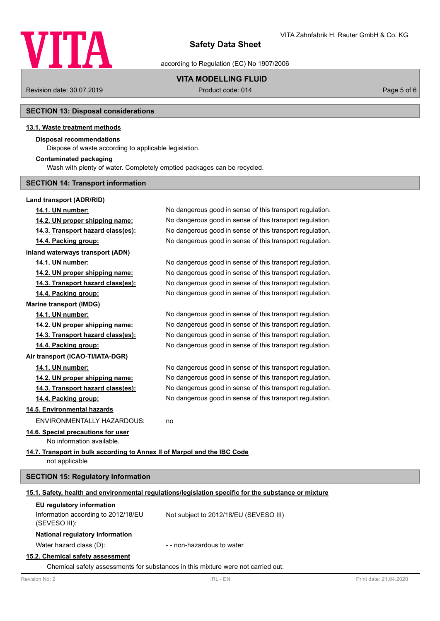

according to Regulation (EC) No 1907/2006

# **VITA MODELLING FLUID**

Revision date: 30.07.2019 **Product code: 014** Product code: 014 **Page 5 of 6** Page 5 of 6

# **SECTION 13: Disposal considerations**

## **13.1. Waste treatment methods**

## **Disposal recommendations**

Dispose of waste according to applicable legislation.

## **Contaminated packaging**

Wash with plenty of water. Completely emptied packages can be recycled.

## **SECTION 14: Transport information**

# **Land transport (ADR/RID)**

| 14.1. UN number:                                                                                     | No dangerous good in sense of this transport regulation. |  |
|------------------------------------------------------------------------------------------------------|----------------------------------------------------------|--|
| 14.2. UN proper shipping name:                                                                       | No dangerous good in sense of this transport regulation. |  |
| 14.3. Transport hazard class(es):                                                                    | No dangerous good in sense of this transport regulation. |  |
| 14.4. Packing group:                                                                                 | No dangerous good in sense of this transport regulation. |  |
| Inland waterways transport (ADN)                                                                     |                                                          |  |
| 14.1. UN number:                                                                                     | No dangerous good in sense of this transport regulation. |  |
| 14.2. UN proper shipping name:                                                                       | No dangerous good in sense of this transport regulation. |  |
| 14.3. Transport hazard class(es):                                                                    | No dangerous good in sense of this transport regulation. |  |
| 14.4. Packing group:                                                                                 | No dangerous good in sense of this transport regulation. |  |
| <b>Marine transport (IMDG)</b>                                                                       |                                                          |  |
| 14.1. UN number:                                                                                     | No dangerous good in sense of this transport regulation. |  |
| 14.2. UN proper shipping name:                                                                       | No dangerous good in sense of this transport regulation. |  |
| 14.3. Transport hazard class(es):                                                                    | No dangerous good in sense of this transport regulation. |  |
| 14.4. Packing group:                                                                                 | No dangerous good in sense of this transport regulation. |  |
| Air transport (ICAO-TI/IATA-DGR)                                                                     |                                                          |  |
| 14.1. UN number:                                                                                     | No dangerous good in sense of this transport regulation. |  |
| 14.2. UN proper shipping name:                                                                       | No dangerous good in sense of this transport regulation. |  |
| 14.3. Transport hazard class(es):                                                                    | No dangerous good in sense of this transport regulation. |  |
| 14.4. Packing group:                                                                                 | No dangerous good in sense of this transport regulation. |  |
| 14.5. Environmental hazards                                                                          |                                                          |  |
| ENVIRONMENTALLY HAZARDOUS:                                                                           | no                                                       |  |
| 14.6. Special precautions for user                                                                   |                                                          |  |
| No information available.                                                                            |                                                          |  |
| 14.7. Transport in bulk according to Annex II of Marpol and the IBC Code<br>not applicable           |                                                          |  |
| <b>SECTION 15: Regulatory information</b>                                                            |                                                          |  |
| 15.1. Safety, health and environmental regulations/legislation specific for the substance or mixture |                                                          |  |
| EU regulatory information                                                                            |                                                          |  |
| Information according to 2012/18/EU<br>(SEVESO III):                                                 | Not subject to 2012/18/EU (SEVESO III)                   |  |
| National regulatory information                                                                      |                                                          |  |
|                                                                                                      |                                                          |  |

Water hazard class (D):  $\blacksquare$  - non-hazardous to water

## **15.2. Chemical safety assessment**

Chemical safety assessments for substances in this mixture were not carried out.